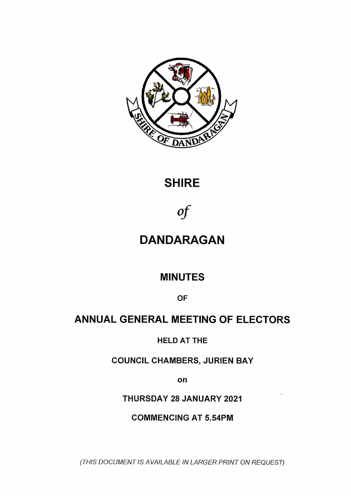

# **SHIRE**

*Of*

# **DANDARAGAN**

# **MINUTES**

**OF**

# **ANNUAL GENERAL MEETING OF ELECTORS**

**HELD AT THE**

**COUNCIL CHAMBERS, JURIEN BAY**

**on**

**THURSDAY 28 JANUARY 2021**

**COMMENCING AT 5.54PM**

*(THIS DOCUMENT IS AVAILABLE IN LARGER PRINT ON REQUEST)*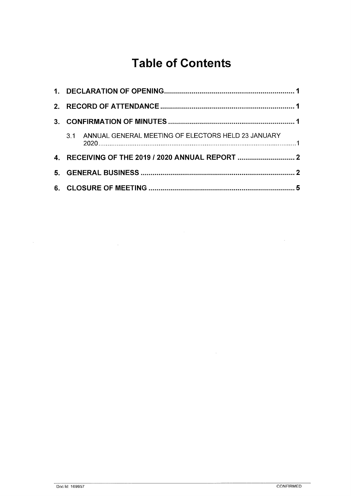# **Table of Contents**

| $\mathbf{3}$ |                                                        |  |
|--------------|--------------------------------------------------------|--|
|              | 3.1 ANNUAL GENERAL MEETING OF ELECTORS HELD 23 JANUARY |  |
|              |                                                        |  |
|              |                                                        |  |
|              |                                                        |  |

 $\label{eq:2.1} \frac{1}{\sqrt{2}}\left(\frac{1}{\sqrt{2}}\right)^{2} \left(\frac{1}{\sqrt{2}}\right)^{2} \left(\frac{1}{\sqrt{2}}\right)^{2} \left(\frac{1}{\sqrt{2}}\right)^{2} \left(\frac{1}{\sqrt{2}}\right)^{2} \left(\frac{1}{\sqrt{2}}\right)^{2} \left(\frac{1}{\sqrt{2}}\right)^{2} \left(\frac{1}{\sqrt{2}}\right)^{2} \left(\frac{1}{\sqrt{2}}\right)^{2} \left(\frac{1}{\sqrt{2}}\right)^{2} \left(\frac{1}{\sqrt{2}}\right)^{2} \left(\$ 

 $\label{eq:2.1} \frac{1}{\sqrt{2}}\left(\frac{1}{\sqrt{2}}\right)^{2} \left(\frac{1}{\sqrt{2}}\right)^{2} \left(\frac{1}{\sqrt{2}}\right)^{2} \left(\frac{1}{\sqrt{2}}\right)^{2} \left(\frac{1}{\sqrt{2}}\right)^{2} \left(\frac{1}{\sqrt{2}}\right)^{2} \left(\frac{1}{\sqrt{2}}\right)^{2} \left(\frac{1}{\sqrt{2}}\right)^{2} \left(\frac{1}{\sqrt{2}}\right)^{2} \left(\frac{1}{\sqrt{2}}\right)^{2} \left(\frac{1}{\sqrt{2}}\right)^{2} \left(\$ 

 $\Delta \phi = 0.01$  and

 $\mathcal{A}^{\mathcal{A}}$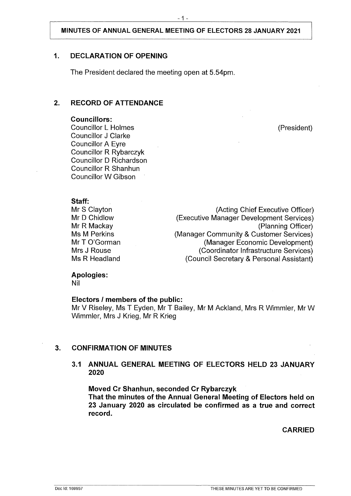# <span id="page-2-0"></span>**1. DECLARATION OF OPENING**

The President declared the meeting open at 5.54pm.

## **2. RECORD OF ATTENDANCE**

#### **Councillors:**

Councillor L Holmes (President) Councillor J Clarke Councillor A Eyre Councillor R Rybarczyk Councillor D Richardson Councillor R Shanhun Councillor W Gibson

#### **Staff:** Mr S Clayton Mr D Chidlow

Mr R Mackay Ms M Perkins Mr T O'Gorman Mrs J Rouse Ms R Headland

(Acting Chief Executive Officer) (Executive Manager Development Services) (Planning Officer) (Manager Community & Customer Services) (Manager Economic Development) (Coordinator Infrastructure Services) (Council Secretary & Personal Assistant)

## **Apologies:**

Nil

#### **Electors / members of the public:**

Mr V Riseley, Ms T Eyden, Mr T Bailey, Mr M Ackland, Mrs R Wimmler, Mr W Wimmler, Mrs J Krieg, Mr R Krieg

## <span id="page-2-1"></span>**3. CONFIRMATION OF MINUTES**

## **3.1 ANNUAL GENERAL MEETING OF ELECTORS HELD 23 JANUARY 2020**

**Moved Cr Shanhun, seconded Cr Rybarczyk That the minutes of the Annual General Meeting of Electors held on 23 January 2020 as circulated be confirmed as a true and correct record.**

**CARRIED**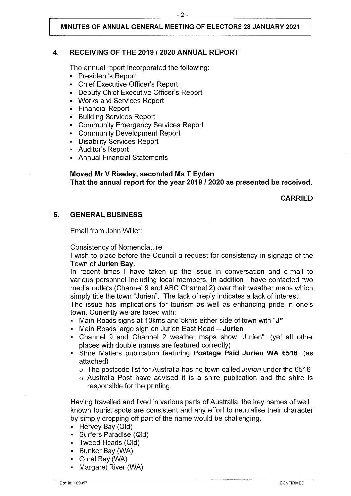## <span id="page-3-0"></span>**4. RECEIVING OF THE 2019 / 2020 ANNUAL REPORT**

The annual report incorporated the following:

- President's Report
- " Chief Executive Officer's Report
- Deputy Chief Executive Officer's Report
- Works and Services Report
- Financial Report
- Building Services Report
- Community Emergency Services Report
- " Community Development Report
- Disability Services Report
- Auditor's Report
- **Annual Financial Statements**

## **Moved Mr V Riseley, seconded Ms T Eyden That the annual report for the year 2019 / 2020 as presented be received.**

**CARRIED**

# <span id="page-3-1"></span>**5. GENERAL BUSINESS**

Email from John Willet:

Consistency of Nomenclature

<sup>I</sup> wish to place before the Council a request for consistency in signage of the Town of **Jurien Bay.**

In recent times <sup>I</sup> have taken up the issue in conversation and e-mail to various personnel including local members. In addition <sup>I</sup> have contacted two media outlets (Channel 9 and ABC Channel 2) over their weather maps which simply title the town "Jurien". The lack of reply indicates a lack of interest.

The issue has implications for tourism as well as enhancing pride in one's town. Currently we are faced with:

- Main Roads signs at 10kms and 5kms either side of town with **"J"**
- Main Roads large sign on Jurien East Road **Jurien**
- Channel 9 and Channel 2 weather maps show "Jurien" (yet all other places with double names are featured correctly)
- Shire Matters publication featuring **Postage Paid Jurien WA 6516** (as attached)
	- o The postcode list for Australia has no town called *Jurien* under the 6516
	- o Australia Post have advised it is a shire publication and the shire is responsible for the printing.

Having travelled and lived in various parts of Australia, the key names of well known tourist spots are consistent and any effort to neutralise their character by simply dropping off part of the name would be challenging.

- Hervey Bay (Old)
- Surfers Paradise (Old)
- " Tweed Heads (Old)
- Bunker Bay (WA)
- " Coral Bay (WA)
- Margaret River (WA)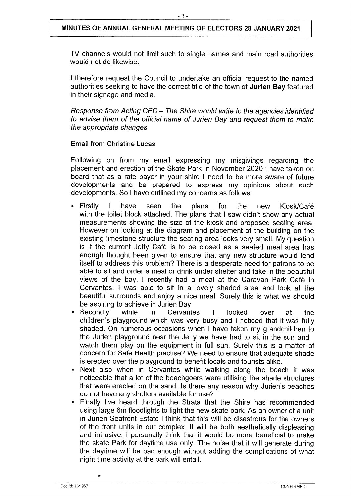TV channels would not limit such to single names and main road authorities would not do likewise.

<sup>I</sup> therefore request the Council to undertake an official request to the named authorities seeking to have the correct title of the town of **Jurien Bay** featured in their signage and media.

*Response from Acting CEO - The Shire would write to the agencies identified to advise them of the official name of Jurien Bay and request them to make the appropriate changes.*

Email from Christine Lucas

Following on from my email expressing my misgivings regarding the placement and erection of the Skate Park in November 2020 <sup>I</sup> have taken on board that as a rate payer in your shire <sup>I</sup> need to be more aware of future developments and be prepared to express my opinions about such developments. So <sup>I</sup> have outlined my concerns as follows:

- Firstly I have seen the plans for the new Kiosk/Café with the toilet block attached. The plans that I saw didn't show any actual measurements showing the size of the kiosk and proposed seating area. However on looking at the diagram and placement of the building on the existing limestone structure the seating area looks very small. My question is if the current Jetty Café is to be closed as a seated meal area has enough thought been given to ensure that any new structure would lend itself to address this problem? There is a desperate need for patrons to be able to sit and order a meal or drink under shelter and take in the beautiful views of the bay. <sup>I</sup> recently had a meal at the Caravan Park Cafe in Cervantes. <sup>I</sup> was able to sit in a lovely shaded area and look at the beautiful surrounds and enjoy a nice meal. Surely this is what we should be aspiring to achieve in Jurien Bay
- Secondly while in Cervantes I looked over at the children's playground which was very busy and <sup>I</sup> noticed that it was fully shaded. On numerous occasions when <sup>I</sup> have taken my grandchildren to the Jurien playground near the Jetty we have had to sit in the sun and watch them play on the equipment in full sun. Surely this is a matter of concern for Safe Health practise? We need to ensure that adequate shade is erected over the playground to benefit locals and tourists alike.
- Next also when in Cervantes while walking along the beach it was noticeable that a lot of the beachgoers were utilising the shade structures that were erected on the sand. Is there any reason why Jurien's beaches do not have any shelters available for use?
- Finally I've heard through the Strata that the Shire has recommended using large 6m floodlights to light the new skate park. As an owner of a unit in Jurien Seafront Estate <sup>I</sup> think that this will be disastrous for the owners of the front units in our complex. It will be both aesthetically displeasing and intrusive. <sup>I</sup> personally think that it would be more beneficial to make the skate Park for daytime use only. The noise that it will generate during the daytime will be bad enough without adding the complications of what night time activity at the park will entail.

**\***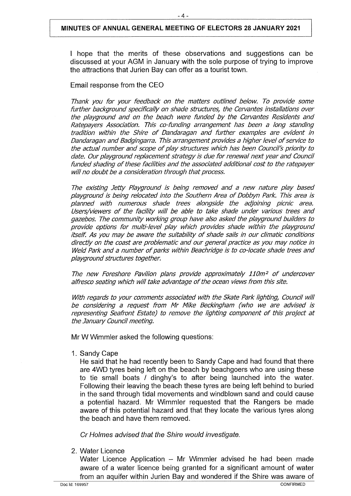<sup>I</sup> hope that the merits of these observations and suggestions can be discussed at your AGM in January with the sole purpose of trying to improve the attractions that Jurien Bay can offer as a tourist town.

#### Email response from the CEO

*Thank you for your feedback on the matters outlined below. To provide some further background specifically on shade structures, the Cervantes installations over the playground and on the beach were funded by the Cervantes Residents and Ratepayers Association. This co-funding arrangement has been a long standing tradition within the Shire of Dandaragan and further examples are evident in Dandaragan and Badgingarra. This arrangementprovides a higher level ofservice to the actual number and scope of play structures which has been Council's priority to date. Our playground replacement strategy is due for renewal next year and Council funded shading ofthese facilities and the associated additional cost to the ratepayer will no doubt be a consideration through thatprocess.*

*The existing Jetty Playground is being removed and a new nature play based playground is being relocated into the Southern Area of Dobbyn Park. This area is planned with numerous shade trees alongside the adjoining picnic area. Users/viewers of the facility will be able to take shade under various trees and gazebos. The community working group have also asked the playground builders to provide options for multi-level play which provides shade within the playground itself. As you may be aware the suitability of shade sails in our climatic conditions directly on the coast are problematic and our general practice as you may notice in Weld Park and a number of parks within Beachridge is to co-locate shade trees and playground structures together.*

*The new Foreshore Pavilion plans provide approximately 110m2 of undercover alfresco seating which will take advantage ofthe ocean views from this site.*

*With regards to your comments associated with the Skate Park lighting, Council will be considering a request from Mr Mike Beckingham (who we are advised is representing Seafront Estate) to remove the lighting component of this project at the January Council meeting.*

Mr W Wimmler asked the following questions:

1. Sandy Cape

He said that he had recently been to Sandy Cape and had found that there are 4WD tyres being left on the beach by beachgoers who are using these to tie small boats / dinghy's to after being launched into the water. Following their leaving the beach these tyres are being left behind to buried in the sand through tidal movements and windblown sand and could cause a potential hazard. Mr Wimmler requested that the Rangers be made aware of this potential hazard and that they locate the various tyres along the beach and have them removed.

*Cr Holmes advised that the Shire would investigate.*

2. Water Licence

Water Licence Application  $-$  Mr Wimmler advised he had been made aware of a water licence being granted for a significant amount of water from an aquifer within Jurien Bay and wondered if the Shire was aware of